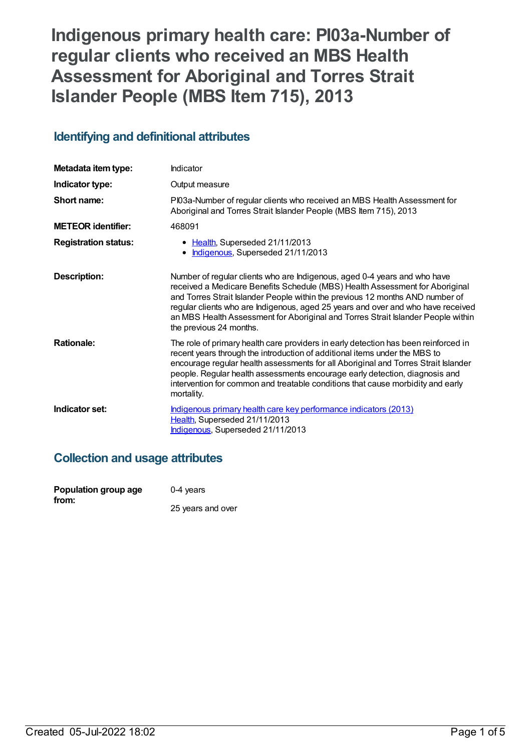# **Indigenous primary health care: PI03a-Number of regular clients who received an MBS Health Assessment for Aboriginal and Torres Strait Islander People (MBS Item 715), 2013**

## **Identifying and definitional attributes**

| Metadata item type:         | Indicator                                                                                                                                                                                                                                                                                                                                                                                                                                     |
|-----------------------------|-----------------------------------------------------------------------------------------------------------------------------------------------------------------------------------------------------------------------------------------------------------------------------------------------------------------------------------------------------------------------------------------------------------------------------------------------|
| Indicator type:             | Output measure                                                                                                                                                                                                                                                                                                                                                                                                                                |
| Short name:                 | PI03a-Number of regular clients who received an MBS Health Assessment for<br>Aboriginal and Torres Strait Islander People (MBS Item 715), 2013                                                                                                                                                                                                                                                                                                |
| <b>METEOR identifier:</b>   | 468091                                                                                                                                                                                                                                                                                                                                                                                                                                        |
| <b>Registration status:</b> | • Health, Superseded 21/11/2013<br>Indigenous, Superseded 21/11/2013<br>$\bullet$                                                                                                                                                                                                                                                                                                                                                             |
| Description:                | Number of regular clients who are Indigenous, aged 0-4 years and who have<br>received a Medicare Benefits Schedule (MBS) Health Assessment for Aboriginal<br>and Torres Strait Islander People within the previous 12 months AND number of<br>regular clients who are Indigenous, aged 25 years and over and who have received<br>an MBS Health Assessment for Aboriginal and Torres Strait Islander People within<br>the previous 24 months. |
| <b>Rationale:</b>           | The role of primary health care providers in early detection has been reinforced in<br>recent years through the introduction of additional items under the MBS to<br>encourage regular health assessments for all Aboriginal and Torres Strait Islander<br>people. Regular health assessments encourage early detection, diagnosis and<br>intervention for common and treatable conditions that cause morbidity and early<br>mortality.       |
| Indicator set:              | Indigenous primary health care key performance indicators (2013)<br>Health, Superseded 21/11/2013<br>Indigenous, Superseded 21/11/2013                                                                                                                                                                                                                                                                                                        |

## **Collection and usage attributes**

| Population group age | $0-4$ years       |
|----------------------|-------------------|
| from:                | 25 years and over |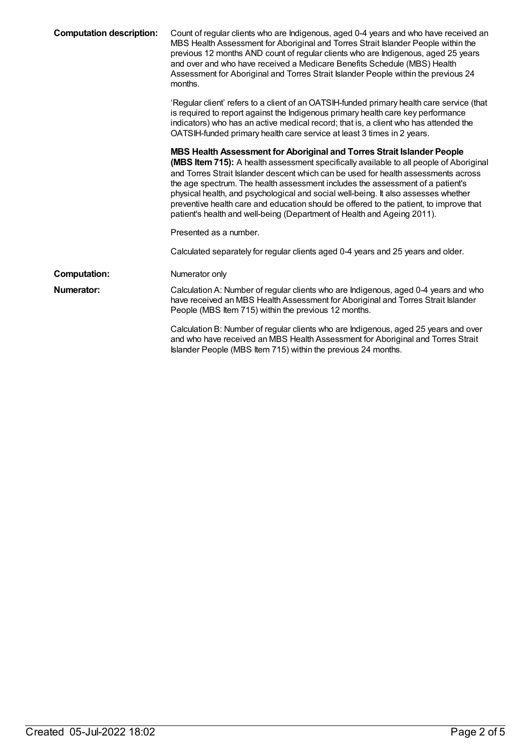| <b>Computation description:</b> | Count of regular clients who are Indigenous, aged 0-4 years and who have received an<br>MBS Health Assessment for Aboriginal and Torres Strait Islander People within the<br>previous 12 months AND count of regular clients who are Indigenous, aged 25 years<br>and over and who have received a Medicare Benefits Schedule (MBS) Health<br>Assessment for Aboriginal and Torres Strait Islander People within the previous 24<br>months.                                                                                                                                                         |
|---------------------------------|-----------------------------------------------------------------------------------------------------------------------------------------------------------------------------------------------------------------------------------------------------------------------------------------------------------------------------------------------------------------------------------------------------------------------------------------------------------------------------------------------------------------------------------------------------------------------------------------------------|
|                                 | 'Regular client' refers to a client of an OATSIH-funded primary health care service (that<br>is required to report against the Indigenous primary health care key performance<br>indicators) who has an active medical record; that is, a client who has attended the<br>OATSIH-funded primary health care service at least 3 times in 2 years.                                                                                                                                                                                                                                                     |
|                                 | MBS Health Assessment for Aboriginal and Torres Strait Islander People<br>(MBS Item 715): A health assessment specifically available to all people of Aboriginal<br>and Torres Strait Islander descent which can be used for health assessments across<br>the age spectrum. The health assessment includes the assessment of a patient's<br>physical health, and psychological and social well-being. It also assesses whether<br>preventive health care and education should be offered to the patient, to improve that<br>patient's health and well-being (Department of Health and Ageing 2011). |
|                                 | Presented as a number.                                                                                                                                                                                                                                                                                                                                                                                                                                                                                                                                                                              |
|                                 | Calculated separately for regular clients aged 0-4 years and 25 years and older.                                                                                                                                                                                                                                                                                                                                                                                                                                                                                                                    |
| <b>Computation:</b>             | Numerator only                                                                                                                                                                                                                                                                                                                                                                                                                                                                                                                                                                                      |
| <b>Numerator:</b>               | Calculation A: Number of regular clients who are Indigenous, aged 0-4 years and who<br>have received an MBS Health Assessment for Aboriginal and Torres Strait Islander<br>People (MBS Item 715) within the previous 12 months.                                                                                                                                                                                                                                                                                                                                                                     |
|                                 | Calculation B: Number of regular clients who are Indigenous, aged 25 years and over<br>and who have received an MBS Health Assessment for Aboriginal and Torres Strait<br>Islander People (MBS Item 715) within the previous 24 months.                                                                                                                                                                                                                                                                                                                                                             |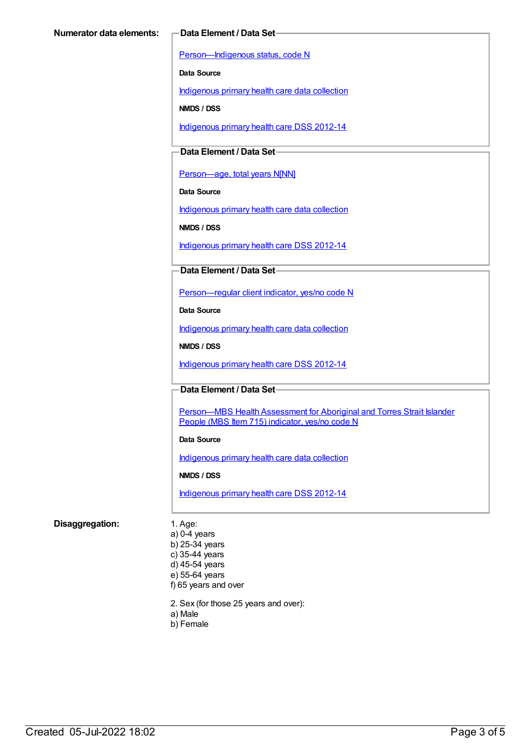[Person—Indigenous](https://meteor.aihw.gov.au/content/291036) status, code N

**Data Source**

[Indigenous](https://meteor.aihw.gov.au/content/430643) primary health care data collection

**NMDS / DSS**

[Indigenous](https://meteor.aihw.gov.au/content/430629) primary health care DSS 2012-14

### **Data Element / Data Set**

[Person—age,](https://meteor.aihw.gov.au/content/303794) total years N[NN]

**Data Source**

[Indigenous](https://meteor.aihw.gov.au/content/430643) primary health care data collection

**NMDS / DSS**

[Indigenous](https://meteor.aihw.gov.au/content/430629) primary health care DSS 2012-14

#### **Data Element / Data Set**

[Person—regular](https://meteor.aihw.gov.au/content/436639) client indicator, yes/no code N

**Data Source**

[Indigenous](https://meteor.aihw.gov.au/content/430643) primary health care data collection

**NMDS / DSS**

[Indigenous](https://meteor.aihw.gov.au/content/430629) primary health care DSS 2012-14

**Data Element / Data Set**

Person-MBS Health Assessment for Aboriginal and Torres Strait Islander People (MBS Item 715) indicator, yes/no code N

#### **Data Source**

[Indigenous](https://meteor.aihw.gov.au/content/430643) primary health care data collection

**NMDS / DSS**

[Indigenous](https://meteor.aihw.gov.au/content/430629) primary health care DSS 2012-14

#### **Disaggregation:** 1. Age:

a) 0-4 years b) 25-34 years c) 35-44 years d) 45-54 years e) 55-64 years f) 65 years and over

2. Sex (for those 25 years and over):

- a) Male
- b) Female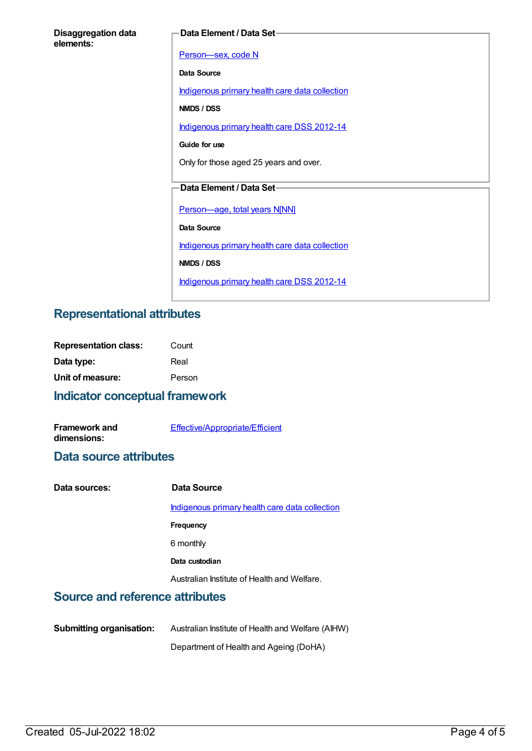| <b>Disaggregation data</b> |  |
|----------------------------|--|
| elements:                  |  |

#### **Data Element / Data Set**

[Person—sex,](https://meteor.aihw.gov.au/content/287316) code N **Data Source** [Indigenous](https://meteor.aihw.gov.au/content/430643) primary health care data collection **NMDS / DSS** [Indigenous](https://meteor.aihw.gov.au/content/430629) primary health care DSS 2012-14 **Guide for use** Only for those aged 25 years and over. **Data Element / Data Set** [Person—age,](https://meteor.aihw.gov.au/content/303794) total years N[NN] **Data Source** [Indigenous](https://meteor.aihw.gov.au/content/430643) primary health care data collection **NMDS / DSS** [Indigenous](https://meteor.aihw.gov.au/content/430629) primary health care DSS 2012-14

## **Representational attributes**

| <b>Representation class:</b> | Count  |
|------------------------------|--------|
| Data type:                   | Real   |
| Unit of measure:             | Person |

## **Indicator conceptual framework**

| <b>Framework and</b> | Effective/Appropriate/Efficient |
|----------------------|---------------------------------|
| dimensions:          |                                 |

### **Data source attributes**

| Data sources: | Data Source                                    |
|---------------|------------------------------------------------|
|               | Indigenous primary health care data collection |
|               | Frequency                                      |
|               | 6 monthly                                      |
|               | Data custodian                                 |
|               | Australian Institute of Health and Welfare.    |
|               |                                                |

## **Source and reference attributes**

| <b>Submitting organisation:</b> | Australian Institute of Health and Welfare (AIHW) |
|---------------------------------|---------------------------------------------------|
|                                 | Department of Health and Ageing (DoHA)            |